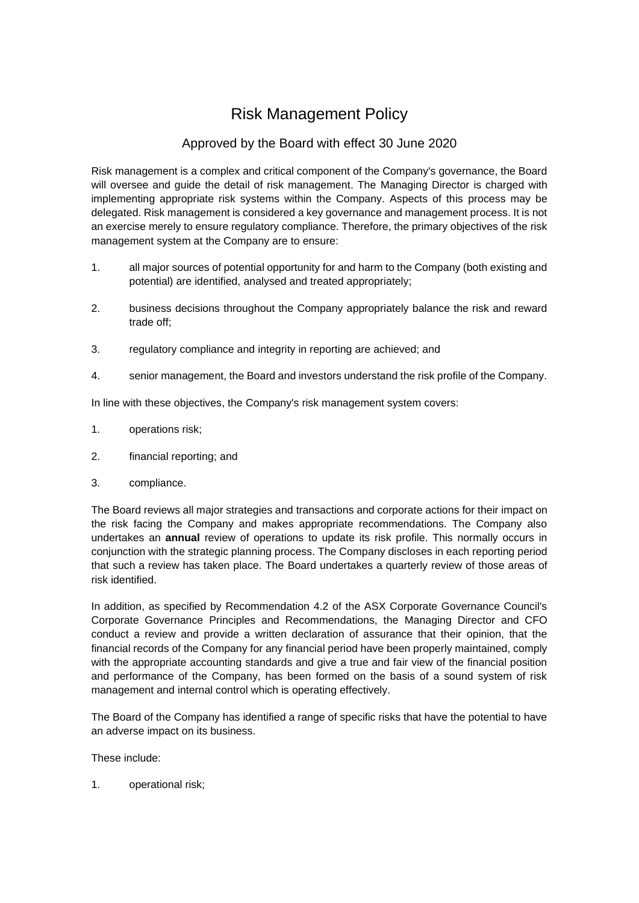## Risk Management Policy

## Approved by the Board with effect 30 June 2020

Risk management is a complex and critical component of the Company's governance, the Board will oversee and guide the detail of risk management. The Managing Director is charged with implementing appropriate risk systems within the Company. Aspects of this process may be delegated. Risk management is considered a key governance and management process. It is not an exercise merely to ensure regulatory compliance. Therefore, the primary objectives of the risk management system at the Company are to ensure:

- 1. all major sources of potential opportunity for and harm to the Company (both existing and potential) are identified, analysed and treated appropriately;
- 2. business decisions throughout the Company appropriately balance the risk and reward trade off;
- 3. regulatory compliance and integrity in reporting are achieved; and
- 4. senior management, the Board and investors understand the risk profile of the Company.

In line with these objectives, the Company's risk management system covers:

- 1. operations risk;
- 2. financial reporting; and
- 3. compliance.

The Board reviews all major strategies and transactions and corporate actions for their impact on the risk facing the Company and makes appropriate recommendations. The Company also undertakes an **annual** review of operations to update its risk profile. This normally occurs in conjunction with the strategic planning process. The Company discloses in each reporting period that such a review has taken place. The Board undertakes a quarterly review of those areas of risk identified.

In addition, as specified by Recommendation 4.2 of the ASX Corporate Governance Council's Corporate Governance Principles and Recommendations, the Managing Director and CFO conduct a review and provide a written declaration of assurance that their opinion, that the financial records of the Company for any financial period have been properly maintained, comply with the appropriate accounting standards and give a true and fair view of the financial position and performance of the Company, has been formed on the basis of a sound system of risk management and internal control which is operating effectively.

The Board of the Company has identified a range of specific risks that have the potential to have an adverse impact on its business.

These include:

1. operational risk;